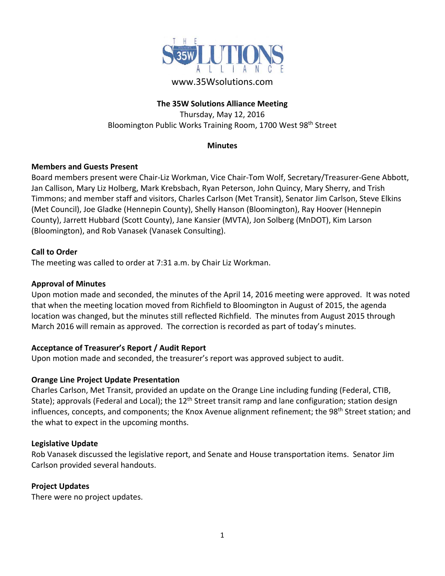

# www.35Wsolutions.com

## **The 35W Solutions Alliance Meeting**

Thursday, May 12, 2016 Bloomington Public Works Training Room, 1700 West 98th Street

#### **Minutes**

### **Members and Guests Present**

Board members present were Chair‐Liz Workman, Vice Chair‐Tom Wolf, Secretary/Treasurer‐Gene Abbott, Jan Callison, Mary Liz Holberg, Mark Krebsbach, Ryan Peterson, John Quincy, Mary Sherry, and Trish Timmons; and member staff and visitors, Charles Carlson (Met Transit), Senator Jim Carlson, Steve Elkins (Met Council), Joe Gladke (Hennepin County), Shelly Hanson (Bloomington), Ray Hoover (Hennepin County), Jarrett Hubbard (Scott County), Jane Kansier (MVTA), Jon Solberg (MnDOT), Kim Larson (Bloomington), and Rob Vanasek (Vanasek Consulting).

### **Call to Order**

The meeting was called to order at 7:31 a.m. by Chair Liz Workman.

#### **Approval of Minutes**

Upon motion made and seconded, the minutes of the April 14, 2016 meeting were approved. It was noted that when the meeting location moved from Richfield to Bloomington in August of 2015, the agenda location was changed, but the minutes still reflected Richfield. The minutes from August 2015 through March 2016 will remain as approved. The correction is recorded as part of today's minutes.

### **Acceptance of Treasurer's Report / Audit Report**

Upon motion made and seconded, the treasurer's report was approved subject to audit.

### **Orange Line Project Update Presentation**

Charles Carlson, Met Transit, provided an update on the Orange Line including funding (Federal, CTIB, State); approvals (Federal and Local); the 12<sup>th</sup> Street transit ramp and lane configuration; station design influences, concepts, and components; the Knox Avenue alignment refinement; the 98<sup>th</sup> Street station; and the what to expect in the upcoming months.

#### **Legislative Update**

Rob Vanasek discussed the legislative report, and Senate and House transportation items. Senator Jim Carlson provided several handouts.

#### **Project Updates**

There were no project updates.